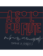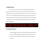## **Program Notes**

This solo showcases the versatility of the flute by fusing many different musical styles into one piece of music. Its composition is inspired by the likes of Greg Pattillo, as his flute beatbox style sparked my interest in the area. The fusion of eastern, classical, and hip-hop influences gives the piece a fresh sound and texture, and encourages interaction between the music and the emotions. This composition is designed around extended techniques, expanding the boundaries of traditional western flute playing.



## **Performance Notes**

- When a triangular note head is written, play the regular note head on the flute while singing/humming the triangular note head simultaneously.
- When a carrot is written above a syllable  $(^\wedge)$  perform that syllable by inhaling.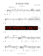*A Solo for Flu*t

Spencer A. Roberts













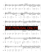

2







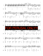







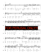



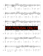